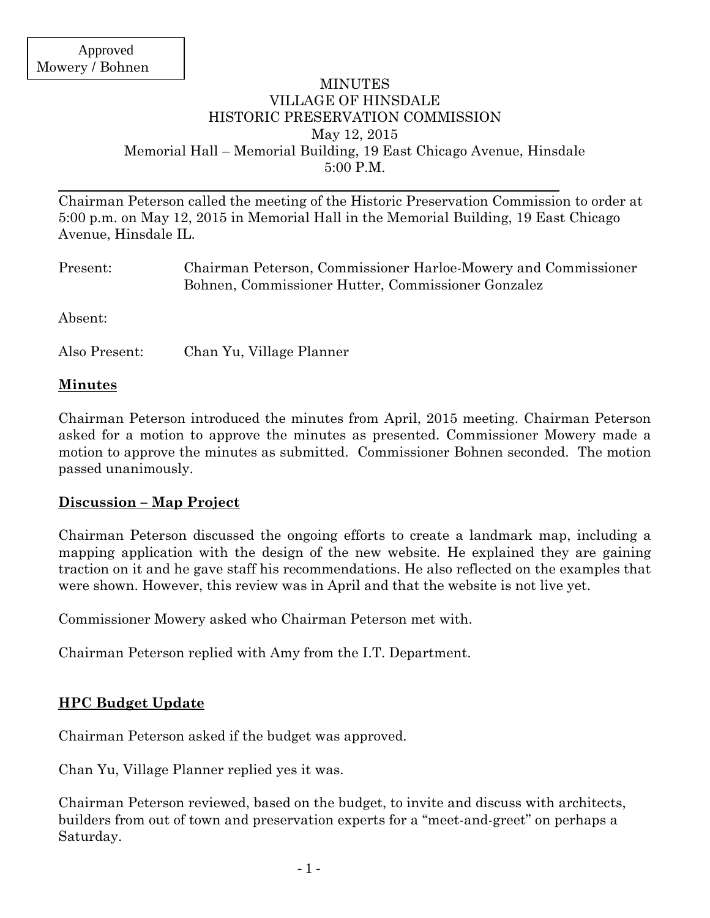## MINUTES VILLAGE OF HINSDALE HISTORIC PRESERVATION COMMISSION May 12, 2015 Memorial Hall – Memorial Building, 19 East Chicago Avenue, Hinsdale 5:00 P.M.

Chairman Peterson called the meeting of the Historic Preservation Commission to order at 5:00 p.m. on May 12, 2015 in Memorial Hall in the Memorial Building, 19 East Chicago Avenue, Hinsdale IL.

| Present: | Chairman Peterson, Commissioner Harloe-Mowery and Commissioner<br>Bohnen, Commissioner Hutter, Commissioner Gonzalez |
|----------|----------------------------------------------------------------------------------------------------------------------|
| Absent:  |                                                                                                                      |

Also Present: Chan Yu, Village Planner

#### **Minutes**

Chairman Peterson introduced the minutes from April, 2015 meeting. Chairman Peterson asked for a motion to approve the minutes as presented. Commissioner Mowery made a motion to approve the minutes as submitted. Commissioner Bohnen seconded. The motion passed unanimously.

#### **Discussion – Map Project**

Chairman Peterson discussed the ongoing efforts to create a landmark map, including a mapping application with the design of the new website. He explained they are gaining traction on it and he gave staff his recommendations. He also reflected on the examples that were shown. However, this review was in April and that the website is not live yet.

Commissioner Mowery asked who Chairman Peterson met with.

Chairman Peterson replied with Amy from the I.T. Department.

# **HPC Budget Update**

Chairman Peterson asked if the budget was approved.

Chan Yu, Village Planner replied yes it was.

Chairman Peterson reviewed, based on the budget, to invite and discuss with architects, builders from out of town and preservation experts for a "meet-and-greet" on perhaps a Saturday.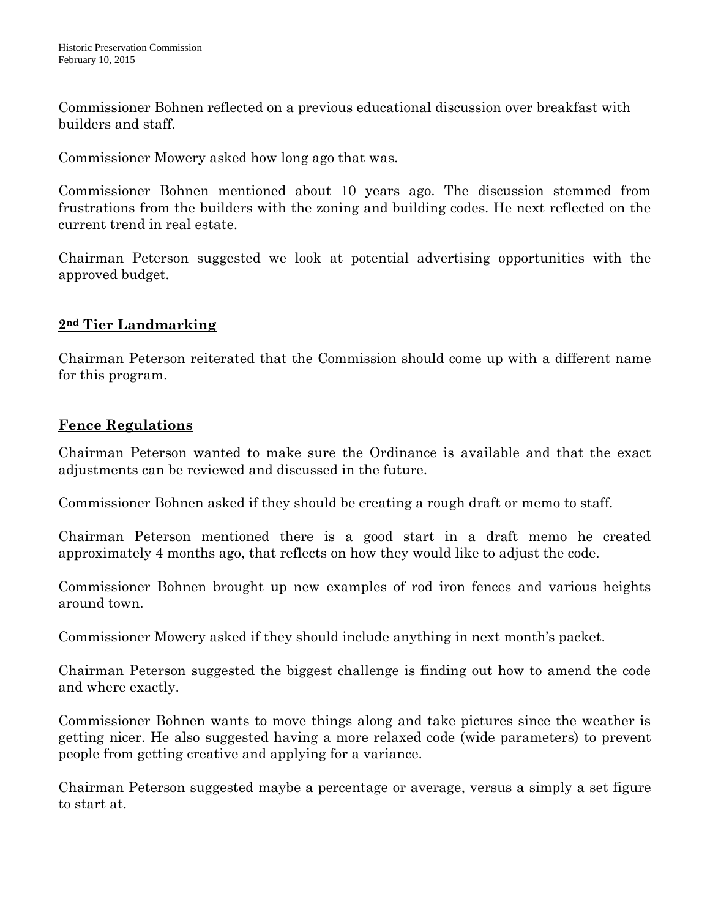Commissioner Bohnen reflected on a previous educational discussion over breakfast with builders and staff.

Commissioner Mowery asked how long ago that was.

Commissioner Bohnen mentioned about 10 years ago. The discussion stemmed from frustrations from the builders with the zoning and building codes. He next reflected on the current trend in real estate.

Chairman Peterson suggested we look at potential advertising opportunities with the approved budget.

# **2nd Tier Landmarking**

Chairman Peterson reiterated that the Commission should come up with a different name for this program.

## **Fence Regulations**

Chairman Peterson wanted to make sure the Ordinance is available and that the exact adjustments can be reviewed and discussed in the future.

Commissioner Bohnen asked if they should be creating a rough draft or memo to staff.

Chairman Peterson mentioned there is a good start in a draft memo he created approximately 4 months ago, that reflects on how they would like to adjust the code.

Commissioner Bohnen brought up new examples of rod iron fences and various heights around town.

Commissioner Mowery asked if they should include anything in next month's packet.

Chairman Peterson suggested the biggest challenge is finding out how to amend the code and where exactly.

Commissioner Bohnen wants to move things along and take pictures since the weather is getting nicer. He also suggested having a more relaxed code (wide parameters) to prevent people from getting creative and applying for a variance.

Chairman Peterson suggested maybe a percentage or average, versus a simply a set figure to start at.